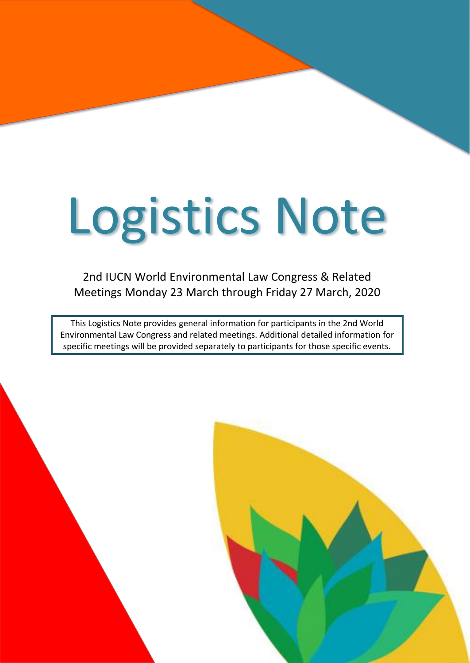# Logistics Note

2nd IUCN World Environmental Law Congress & Related Meetings Monday 23 March through Friday 27 March, 2020

This Logistics Note provides general information for participants in the 2nd World Environmental Law Congress and related meetings. Additional detailed information for specific meetings will be provided separately to participants for those specific events.

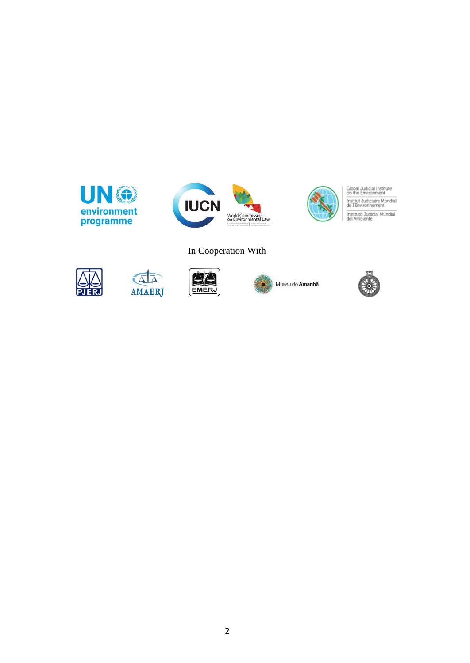







Global Judicial Institute<br>on the Environment Institut Judiciaire Mondial<br>de l'Environnement Instituto Judicial Mundial<br>del Ambiente

#### In Cooperation With



 $\sqrt{\Delta}$ AMAERJ





Museu do Amanhã

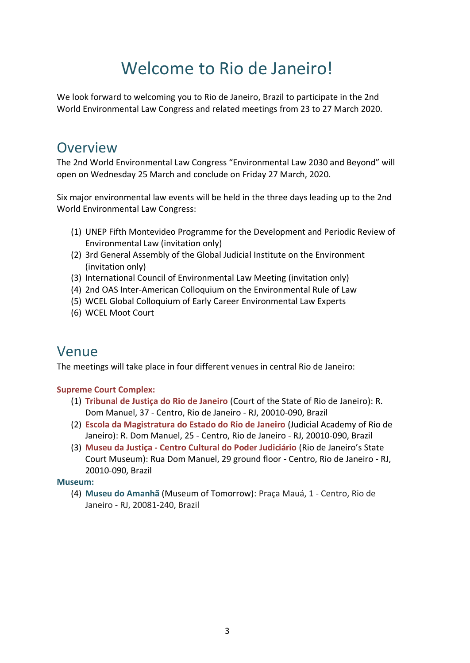## Welcome to Rio de Janeiro!

We look forward to welcoming you to Rio de Janeiro, Brazil to participate in the 2nd World Environmental Law Congress and related meetings from 23 to 27 March 2020.

#### **Overview**

The 2nd World Environmental Law Congress "Environmental Law 2030 and Beyond" will open on Wednesday 25 March and conclude on Friday 27 March, 2020.

Six major environmental law events will be held in the three days leading up to the 2nd World Environmental Law Congress:

- (1) UNEP Fifth Montevideo Programme for the Development and Periodic Review of Environmental Law (invitation only)
- (2) 3rd General Assembly of the Global Judicial Institute on the Environment (invitation only)
- (3) International Council of Environmental Law Meeting (invitation only)
- (4) 2nd OAS Inter-American Colloquium on the Environmental Rule of Law
- (5) WCEL Global Colloquium of Early Career Environmental Law Experts
- (6) WCEL Moot Court

#### Venue

The meetings will take place in four different venues in central Rio de Janeiro:

#### **Supreme Court Complex:**

- (1) **Tribunal de Justiça do Rio de Janeiro** (Court of the State of Rio de Janeiro): R. Dom Manuel, 37 - Centro, Rio de Janeiro - RJ, 20010-090, Brazil
- (2) **Escola da Magistratura do Estado do Rio de Janeiro** (Judicial Academy of Rio de Janeiro): R. Dom Manuel, 25 - Centro, Rio de Janeiro - RJ, 20010-090, Brazil
- (3) **Museu da Justiça - Centro Cultural do Poder Judiciário** (Rio de Janeiro's State Court Museum): Rua Dom Manuel, 29 ground floor - Centro, Rio de Janeiro - RJ, 20010-090, Brazil

**Museum:**

(4) **Museu do Amanhã** (Museum of Tomorrow): Praça Mauá, 1 - Centro, Rio de Janeiro - RJ, 20081-240, Brazil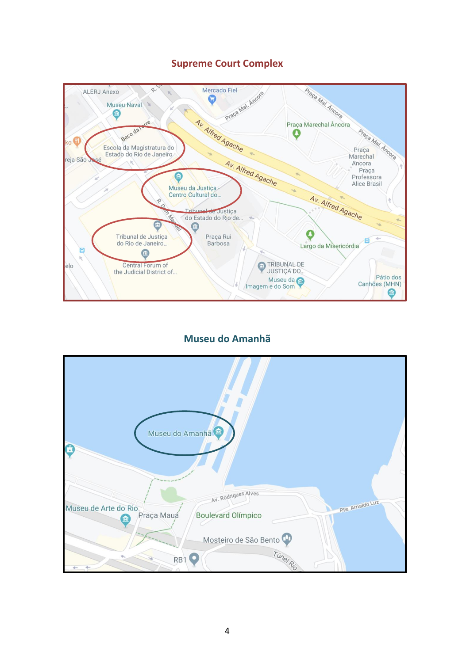

#### **Supreme Court Complex**

#### **Museu do Amanhã**

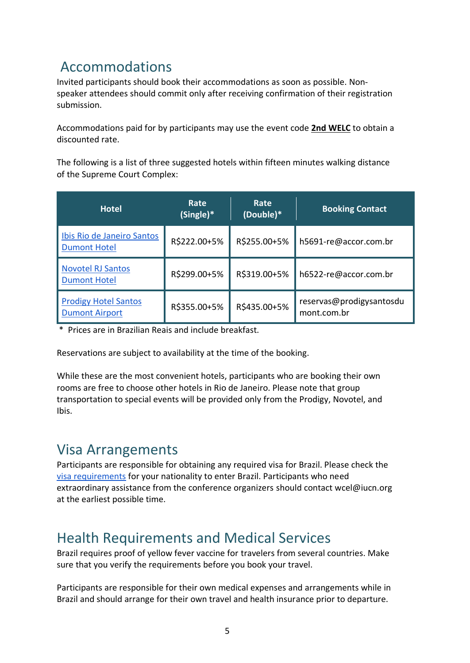#### Accommodations

Invited participants should book their accommodations as soon as possible. Nonspeaker attendees should commit only after receiving confirmation of their registration submission.

Accommodations paid for by participants may use the event code **2nd WELC** to obtain a discounted rate.

The following is a list of three suggested hotels within fifteen minutes walking distance of the Supreme Court Complex:

| <b>Hotel</b>                                         | Rate<br>(Single)* | Rate<br>(Double)* | <b>Booking Contact</b>                  |
|------------------------------------------------------|-------------------|-------------------|-----------------------------------------|
| Ibis Rio de Janeiro Santos<br><b>Dumont Hotel</b>    | R\$222.00+5%      | R\$255.00+5%      | h5691-re@accor.com.br                   |
| <b>Novotel RJ Santos</b><br><b>Dumont Hotel</b>      | R\$299.00+5%      | R\$319.00+5%      | h6522-re@accor.com.br                   |
| <b>Prodigy Hotel Santos</b><br><b>Dumont Airport</b> | R\$355.00+5%      | R\$435.00+5%      | reservas@prodigysantosdu<br>mont.com.br |

\* Prices are in Brazilian Reais and include breakfast.

Reservations are subject to availability at the time of the booking.

While these are the most convenient hotels, participants who are booking their own rooms are free to choose other hotels in Rio de Janeiro. Please note that group transportation to special events will be provided only from the Prodigy, Novotel, and Ibis.

#### Visa Arrangements

Participants are responsible for obtaining any required visa for Brazil. Please check th[e](http://www.portalconsular.itamaraty.gov.br/vistos-para-viajar-ao-brasil) [visa requirements](http://www.portalconsular.itamaraty.gov.br/vistos-para-viajar-ao-brasil) for your nationality to enter Brazil. Participants who need extraordinary assistance from the conference organizers should contact [wcel@iucn.org](mailto:wcel@iucn.org) at the earliest possible time.

#### Health Requirements and Medical Services

Brazil requires proof of yellow fever vaccine for travelers from several countries. Make sure that you verify the requirements before you book your travel.

Participants are responsible for their own medical expenses and arrangements while in Brazil and should arrange for their own travel and health insurance prior to departure.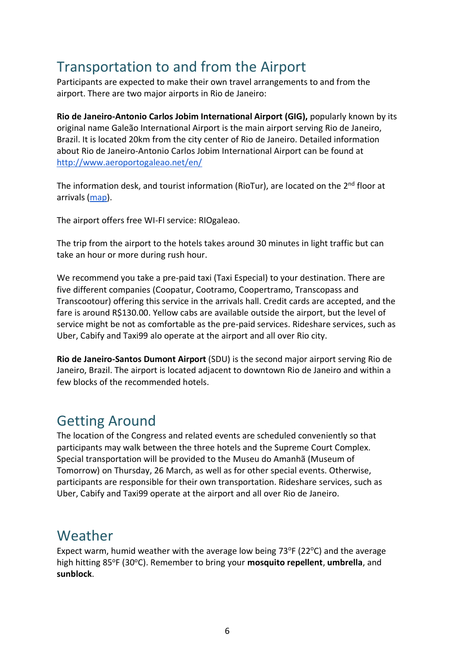#### Transportation to and from the Airport

Participants are expected to make their own travel arrangements to and from the airport. There are two major airports in Rio de Janeiro:

**Rio de Janeiro-Antonio Carlos Jobim International Airport (GIG),** popularly known by its original name Galeão International Airport is the main airport serving Rio de Janeiro, Brazil. It is located 20km from the city center of Rio de Janeiro. Detailed information about Rio de Janeiro-Antonio Carlos Jobim International Airport can be found a[t](http://www.aeroportogaleao.net/en/) <http://www.aeroportogaleao.net/en/>

The information desk, and tourist information (RioTur), are located on the  $2<sup>nd</sup>$  floor at arrivals [\(map\)](https://www.riogaleao.com/passageiros/airport-map).

The airport offers free WI-FI service: RIOgaleao.

The trip from the airport to the hotels takes around 30 minutes in light traffic but can take an hour or more during rush hour.

We recommend you take a pre-paid taxi (Taxi Especial) to your destination. There are five different companies (Coopatur, Cootramo, Coopertramo, Transcopass and Transcootour) offering this service in the arrivals hall. Credit cards are accepted, and the fare is around R\$130.00. Yellow cabs are available outside the airport, but the level of service might be not as comfortable as the pre-paid services. Rideshare services, such as Uber, Cabify and Taxi99 alo operate at the airport and all over Rio city.

**Rio de Janeiro-Santos Dumont Airport** (SDU) is the second major airport serving Rio de Janeiro, Brazil. The airport is located adjacent to downtown Rio de Janeiro and within a few blocks of the recommended hotels.

#### Getting Around

The location of the Congress and related events are scheduled conveniently so that participants may walk between the three hotels and the Supreme Court Complex. Special transportation will be provided to the Museu do Amanhã (Museum of Tomorrow) on Thursday, 26 March, as well as for other special events. Otherwise, participants are responsible for their own transportation. Rideshare services, such as Uber, Cabify and Taxi99 operate at the airport and all over Rio de Janeiro.

#### Weather

Expect warm, humid weather with the average low being  $73^{\circ}F(22^{\circ}C)$  and the average high hitting 85°F (30°C). Remember to bring your **mosquito repellent**, **umbrella**, and **sunblock**.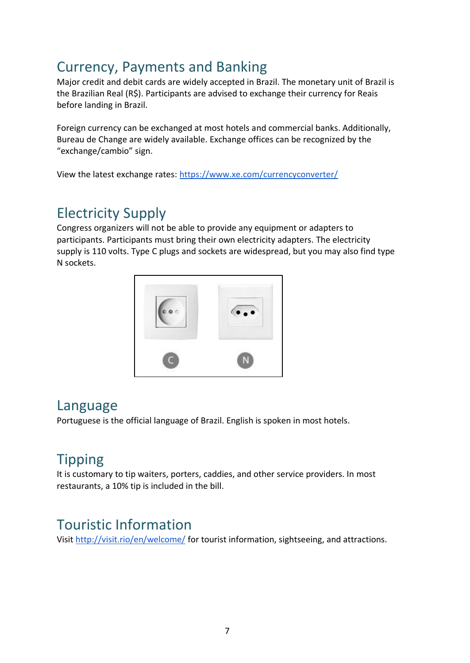### Currency, Payments and Banking

Major credit and debit cards are widely accepted in Brazil. The monetary unit of Brazil is the Brazilian Real (R\$). Participants are advised to exchange their currency for Reais before landing in Brazil.

Foreign currency can be exchanged at most hotels and commercial banks. Additionally, Bureau de Change are widely available. Exchange offices can be recognized by the "exchange/cambio" sign.

View the latest exchange rates[:](https://www.xe.com/currencyconverter/) <https://www.xe.com/currencyconverter/>

## Electricity Supply

Congress organizers will not be able to provide any equipment or adapters to participants. Participants must bring their own electricity adapters. The electricity supply is 110 volts. Type C plugs and sockets are widespread, but you may also find type N sockets.



#### Language

Portuguese is the official language of Brazil. English is spoken in most hotels.

## Tipping

It is customary to tip waiters, porters, caddies, and other service providers. In most restaurants, a 10% tip is included in the bill.

#### Touristic Information

Visit <http://visit.rio/en/welcome/> for tourist information, sightseeing, and attractions.